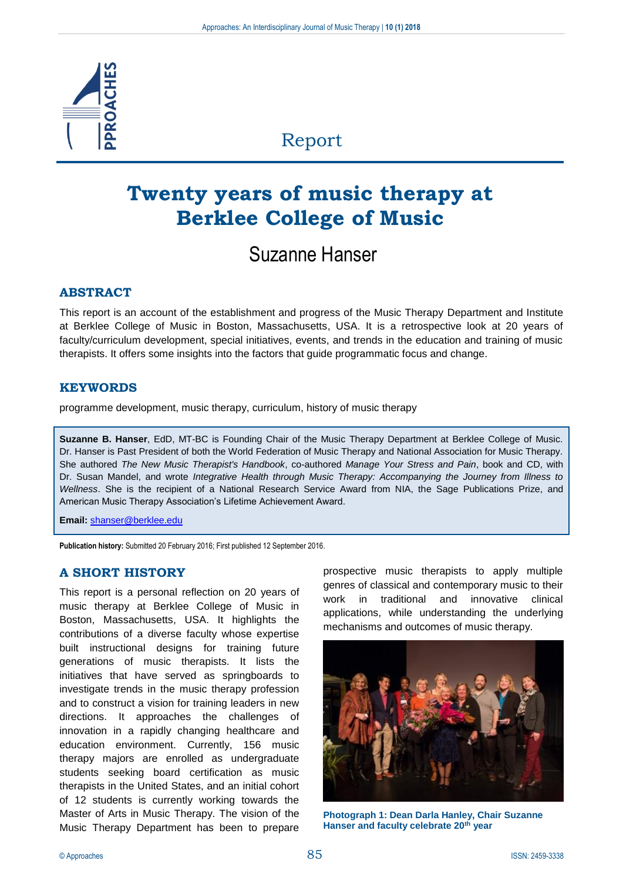

# Report

# **Twenty years of music therapy at Berklee College of Music**

# Suzanne Hanser

## **ABSTRACT**

This report is an account of the establishment and progress of the Music Therapy Department and Institute at Berklee College of Music in Boston, Massachusetts, USA. It is a retrospective look at 20 years of faculty/curriculum development, special initiatives, events, and trends in the education and training of music therapists. It offers some insights into the factors that guide programmatic focus and change.

## **KEYWORDS**

programme development, music therapy, curriculum, history of music therapy

**Suzanne B. Hanser**, EdD, MT-BC is Founding Chair of the Music Therapy Department at Berklee College of Music. Dr. Hanser is Past President of both the World Federation of Music Therapy and National Association for Music Therapy. She authored *The New Music Therapist's Handbook*, co-authored *Manage Your Stress and Pain*, book and CD, with Dr. Susan Mandel, and wrote *Integrative Health through Music Therapy: Accompanying the Journey from Illness to Wellness*. She is the recipient of a National Research Service Award from NIA, the Sage Publications Prize, and American Music Therapy Association's Lifetime Achievement Award.

**Email:** [shanser@berklee.edu](mailto:shanser@berklee.edu)

**Publication history:** Submitted 20 February 2016; First published 12 September 2016.

## **A SHORT HISTORY**

This report is a personal reflection on 20 years of music therapy at Berklee College of Music in Boston, Massachusetts, USA. It highlights the contributions of a diverse faculty whose expertise built instructional designs for training future generations of music therapists. It lists the initiatives that have served as springboards to investigate trends in the music therapy profession and to construct a vision for training leaders in new directions. It approaches the challenges of innovation in a rapidly changing healthcare and education environment. Currently, 156 music therapy majors are enrolled as undergraduate students seeking board certification as music therapists in the United States, and an initial cohort of 12 students is currently working towards the Master of Arts in Music Therapy. The vision of the Music Therapy Department has been to prepare

prospective music therapists to apply multiple genres of classical and contemporary music to their work in traditional and innovative clinical applications, while understanding the underlying mechanisms and outcomes of music therapy.



**Photograph 1: Dean Darla Hanley, Chair Suzanne Hanser and faculty celebrate 20th year**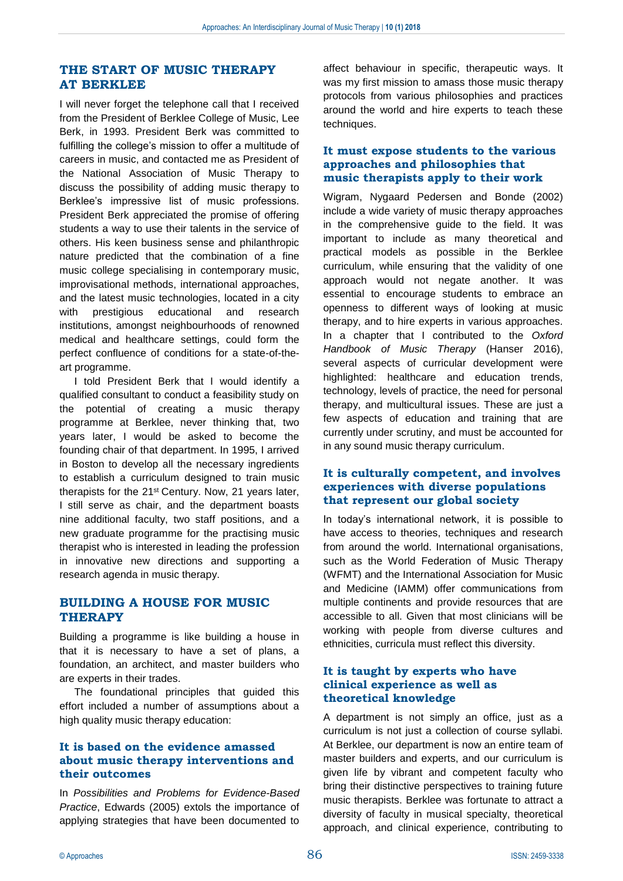## **THE START OF MUSIC THERAPY AT BERKLEE**

I will never forget the telephone call that I received from the President of Berklee College of Music, Lee Berk, in 1993. President Berk was committed to fulfilling the college's mission to offer a multitude of careers in music, and contacted me as President of the National Association of Music Therapy to discuss the possibility of adding music therapy to Berklee's impressive list of music professions. President Berk appreciated the promise of offering students a way to use their talents in the service of others. His keen business sense and philanthropic nature predicted that the combination of a fine music college specialising in contemporary music, improvisational methods, international approaches, and the latest music technologies, located in a city with prestigious educational and research institutions, amongst neighbourhoods of renowned medical and healthcare settings, could form the perfect confluence of conditions for a state-of-theart programme.

I told President Berk that I would identify a qualified consultant to conduct a feasibility study on the potential of creating a music therapy programme at Berklee, never thinking that, two years later, I would be asked to become the founding chair of that department. In 1995, I arrived in Boston to develop all the necessary ingredients to establish a curriculum designed to train music therapists for the 21st Century. Now, 21 years later, I still serve as chair, and the department boasts nine additional faculty, two staff positions, and a new graduate programme for the practising music therapist who is interested in leading the profession in innovative new directions and supporting a research agenda in music therapy.

## **BUILDING A HOUSE FOR MUSIC THERAPY**

Building a programme is like building a house in that it is necessary to have a set of plans, a foundation, an architect, and master builders who are experts in their trades.

The foundational principles that guided this effort included a number of assumptions about a high quality music therapy education:

## **It is based on the evidence amassed about music therapy interventions and their outcomes**

In *Possibilities and Problems for Evidence-Based Practice*, Edwards (2005) extols the importance of applying strategies that have been documented to affect behaviour in specific, therapeutic ways. It was my first mission to amass those music therapy protocols from various philosophies and practices around the world and hire experts to teach these techniques.

## **It must expose students to the various approaches and philosophies that music therapists apply to their work**

Wigram, Nygaard Pedersen and Bonde (2002) include a wide variety of music therapy approaches in the comprehensive guide to the field. It was important to include as many theoretical and practical models as possible in the Berklee curriculum, while ensuring that the validity of one approach would not negate another. It was essential to encourage students to embrace an openness to different ways of looking at music therapy, and to hire experts in various approaches. In a chapter that I contributed to the *Oxford Handbook of Music Therapy* (Hanser 2016), several aspects of curricular development were highlighted: healthcare and education trends, technology, levels of practice, the need for personal therapy, and multicultural issues. These are just a few aspects of education and training that are currently under scrutiny, and must be accounted for in any sound music therapy curriculum.

#### **It is culturally competent, and involves experiences with diverse populations that represent our global society**

In today's international network, it is possible to have access to theories, techniques and research from around the world. International organisations, such as the World Federation of Music Therapy (WFMT) and the International Association for Music and Medicine (IAMM) offer communications from multiple continents and provide resources that are accessible to all. Given that most clinicians will be working with people from diverse cultures and ethnicities, curricula must reflect this diversity.

#### **It is taught by experts who have clinical experience as well as theoretical knowledge**

A department is not simply an office, just as a curriculum is not just a collection of course syllabi. At Berklee, our department is now an entire team of master builders and experts, and our curriculum is given life by vibrant and competent faculty who bring their distinctive perspectives to training future music therapists. Berklee was fortunate to attract a diversity of faculty in musical specialty, theoretical approach, and clinical experience, contributing to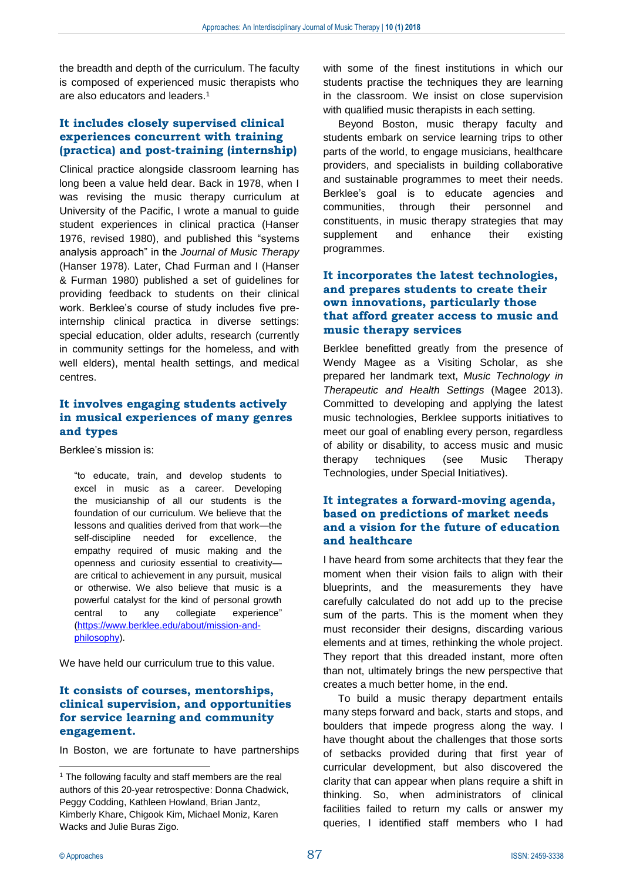the breadth and depth of the curriculum. The faculty is composed of experienced music therapists who are also educators and leaders.<sup>1</sup>

## **It includes closely supervised clinical experiences concurrent with training (practica) and post-training (internship)**

Clinical practice alongside classroom learning has long been a value held dear. Back in 1978, when I was revising the music therapy curriculum at University of the Pacific, I wrote a manual to guide student experiences in clinical practica (Hanser 1976, revised 1980), and published this "systems analysis approach" in the *Journal of Music Therapy* (Hanser 1978). Later, Chad Furman and I (Hanser & Furman 1980) published a set of guidelines for providing feedback to students on their clinical work. Berklee's course of study includes five preinternship clinical practica in diverse settings: special education, older adults, research (currently in community settings for the homeless, and with well elders), mental health settings, and medical centres.

#### **It involves engaging students actively in musical experiences of many genres and types**

Berklee's mission is:

"to educate, train, and develop students to excel in music as a career. Developing the musicianship of all our students is the foundation of our curriculum. We believe that the lessons and qualities derived from that work—the self-discipline needed for excellence, the empathy required of music making and the openness and curiosity essential to creativity are critical to achievement in any pursuit, musical or otherwise. We also believe that music is a powerful catalyst for the kind of personal growth central to any collegiate experience" [\(https://www.berklee.edu/about/mission-and](https://www.berklee.edu/about/mission-and-philosophy)[philosophy\)](https://www.berklee.edu/about/mission-and-philosophy).

We have held our curriculum true to this value.

#### **It consists of courses, mentorships, clinical supervision, and opportunities for service learning and community engagement.**

In Boston, we are fortunate to have partnerships

with some of the finest institutions in which our students practise the techniques they are learning in the classroom. We insist on close supervision with qualified music therapists in each setting.

Beyond Boston, music therapy faculty and students embark on service learning trips to other parts of the world, to engage musicians, healthcare providers, and specialists in building collaborative and sustainable programmes to meet their needs. Berklee's goal is to educate agencies and communities, through their personnel and constituents, in music therapy strategies that may supplement and enhance their existing programmes.

## **It incorporates the latest technologies, and prepares students to create their own innovations, particularly those that afford greater access to music and music therapy services**

Berklee benefitted greatly from the presence of Wendy Magee as a Visiting Scholar, as she prepared her landmark text, *Music Technology in Therapeutic and Health Settings* (Magee 2013). Committed to developing and applying the latest music technologies, Berklee supports initiatives to meet our goal of enabling every person, regardless of ability or disability, to access music and music therapy techniques (see Music Therapy Technologies, under Special Initiatives).

## **It integrates a forward-moving agenda, based on predictions of market needs and a vision for the future of education and healthcare**

I have heard from some architects that they fear the moment when their vision fails to align with their blueprints, and the measurements they have carefully calculated do not add up to the precise sum of the parts. This is the moment when they must reconsider their designs, discarding various elements and at times, rethinking the whole project. They report that this dreaded instant, more often than not, ultimately brings the new perspective that creates a much better home, in the end.

To build a music therapy department entails many steps forward and back, starts and stops, and boulders that impede progress along the way. I have thought about the challenges that those sorts of setbacks provided during that first year of curricular development, but also discovered the clarity that can appear when plans require a shift in thinking. So, when administrators of clinical facilities failed to return my calls or answer my queries, I identified staff members who I had

<sup>&</sup>lt;sup>1</sup> The following faculty and staff members are the real authors of this 20-year retrospective: Donna Chadwick, Peggy Codding, Kathleen Howland, Brian Jantz, Kimberly Khare, Chigook Kim, Michael Moniz, Karen Wacks and Julie Buras Zigo.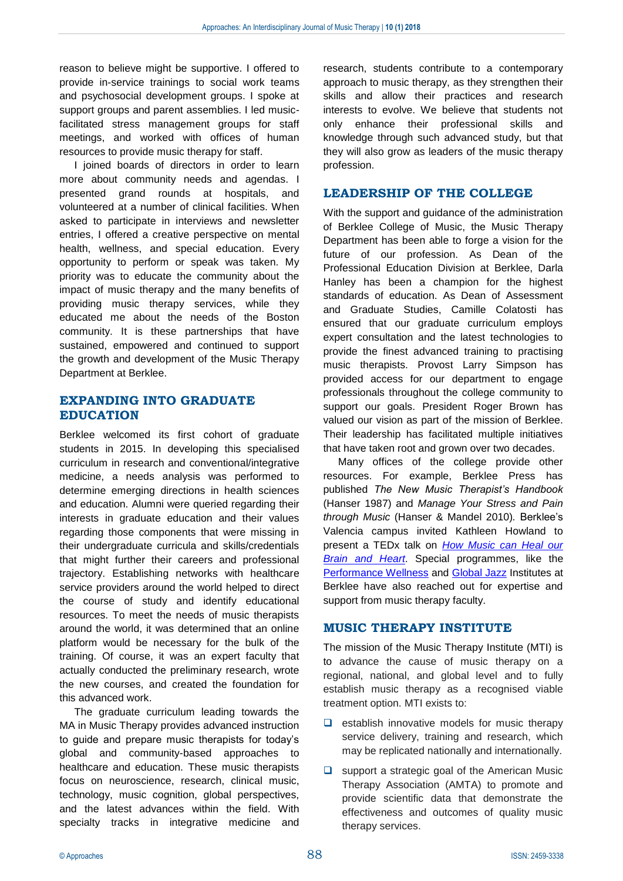reason to believe might be supportive. I offered to provide in-service trainings to social work teams and psychosocial development groups. I spoke at support groups and parent assemblies. I led musicfacilitated stress management groups for staff meetings, and worked with offices of human resources to provide music therapy for staff.

I joined boards of directors in order to learn more about community needs and agendas. I presented grand rounds at hospitals, and volunteered at a number of clinical facilities. When asked to participate in interviews and newsletter entries, I offered a creative perspective on mental health, wellness, and special education. Every opportunity to perform or speak was taken. My priority was to educate the community about the impact of music therapy and the many benefits of providing music therapy services, while they educated me about the needs of the Boston community. It is these partnerships that have sustained, empowered and continued to support the growth and development of the Music Therapy Department at Berklee.

## **EXPANDING INTO GRADUATE EDUCATION**

Berklee welcomed its first cohort of graduate students in 2015. In developing this specialised curriculum in research and conventional/integrative medicine, a needs analysis was performed to determine emerging directions in health sciences and education. Alumni were queried regarding their interests in graduate education and their values regarding those components that were missing in their undergraduate curricula and skills/credentials that might further their careers and professional trajectory. Establishing networks with healthcare service providers around the world helped to direct the course of study and identify educational resources. To meet the needs of music therapists around the world, it was determined that an online platform would be necessary for the bulk of the training. Of course, it was an expert faculty that actually conducted the preliminary research, wrote the new courses, and created the foundation for this advanced work.

The graduate curriculum leading towards the MA in Music Therapy provides advanced instruction to guide and prepare music therapists for today's global and community-based approaches to healthcare and education. These music therapists focus on neuroscience, research, clinical music, technology, music cognition, global perspectives, and the latest advances within the field. With specialty tracks in integrative medicine and

research, students contribute to a contemporary approach to music therapy, as they strengthen their skills and allow their practices and research interests to evolve. We believe that students not only enhance their professional skills and knowledge through such advanced study, but that they will also grow as leaders of the music therapy profession.

## **LEADERSHIP OF THE COLLEGE**

With the support and guidance of the administration of Berklee College of Music, the Music Therapy Department has been able to forge a vision for the future of our profession. As Dean of the Professional Education Division at Berklee, Darla Hanley has been a champion for the highest standards of education. As Dean of Assessment and Graduate Studies, Camille Colatosti has ensured that our graduate curriculum employs expert consultation and the latest technologies to provide the finest advanced training to practising music therapists. Provost Larry Simpson has provided access for our department to engage professionals throughout the college community to support our goals. President Roger Brown has valued our vision as part of the mission of Berklee. Their leadership has facilitated multiple initiatives that have taken root and grown over two decades.

Many offices of the college provide other resources. For example, Berklee Press has published *The New Music Therapist's Handbook* (Hanser 1987) and *Manage Your Stress and Pain through Music* (Hanser & Mandel 2010)*.* Berklee's Valencia campus invited Kathleen Howland to present a TEDx talk on *[How Music can Heal our](https://www.youtube.com/watch?v=NlY4yCsGKXU)  [Brain and Heart](https://www.youtube.com/watch?v=NlY4yCsGKXU)*. Special programmes, like the [Performance Wellness](https://www.berklee.edu/bt/berklee-today-spring-2012/performance-wellness-institute-launched) and [Global Jazz](https://www.berklee.edu/focused/global-jazz/who-we-are) Institutes at Berklee have also reached out for expertise and support from music therapy faculty.

## **MUSIC THERAPY INSTITUTE**

The mission of the Music Therapy Institute (MTI) is to advance the cause of music therapy on a regional, national, and global level and to fully establish music therapy as a recognised viable treatment option. MTI exists to:

- ❑ establish innovative models for music therapy service delivery, training and research, which may be replicated nationally and internationally.
- ❑ support a strategic goal of the American Music Therapy Association (AMTA) to promote and provide scientific data that demonstrate the effectiveness and outcomes of quality music therapy services.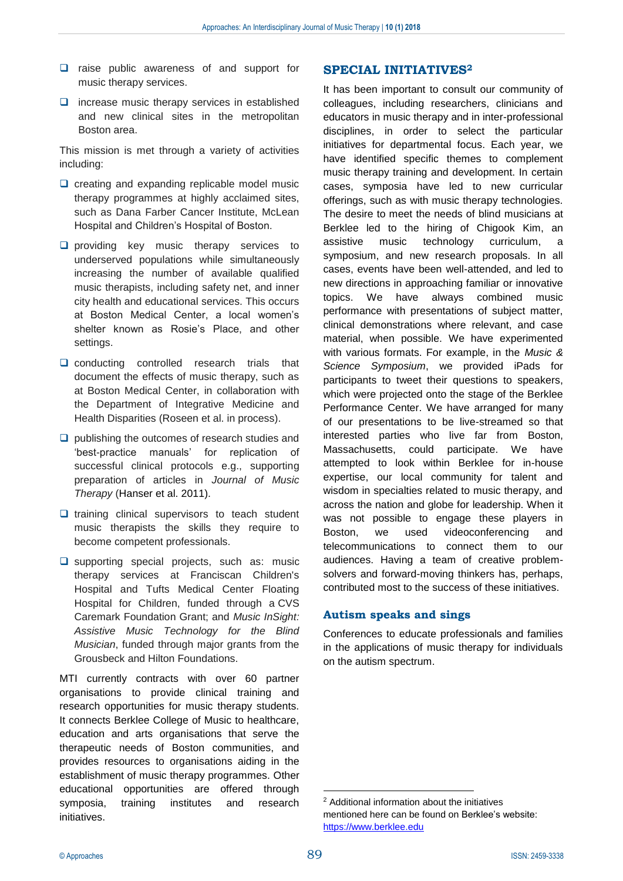- ❑ raise public awareness of and support for music therapy services.
- ❑ increase music therapy services in established and new clinical sites in the metropolitan Boston area.

This mission is met through a variety of activities including:

- ❑ creating and expanding replicable model music therapy programmes at highly acclaimed sites, such as Dana Farber Cancer Institute, McLean Hospital and Children's Hospital of Boston.
- ❑ providing key music therapy services to underserved populations while simultaneously increasing the number of available qualified music therapists, including safety net, and inner city health and educational services. This occurs at Boston Medical Center, a local women's shelter known as Rosie's Place, and other settings.
- ❑ conducting controlled research trials that document the effects of music therapy, such as at Boston Medical Center, in collaboration with the Department of Integrative Medicine and Health Disparities (Roseen et al. in process).
- ❑ publishing the outcomes of research studies and 'best-practice manuals' for replication of successful clinical protocols e.g., supporting preparation of articles in *Journal of Music Therapy* (Hanser et al. 2011).
- ❑ training clinical supervisors to teach student music therapists the skills they require to become competent professionals.
- ❑ supporting special projects, such as: music therapy services at Franciscan Children's Hospital and Tufts Medical Center Floating Hospital for Children, funded through a CVS Caremark Foundation Grant; and *Music InSight: Assistive Music Technology for the Blind Musician*, funded through major grants from the Grousbeck and Hilton Foundations.

MTI currently contracts with over 60 partner organisations to provide clinical training and research opportunities for music therapy students. It connects Berklee College of Music to healthcare, education and arts organisations that serve the therapeutic needs of Boston communities, and provides resources to organisations aiding in the establishment of music therapy programmes. Other educational opportunities are offered through symposia, training institutes and research initiatives.

## **SPECIAL INITIATIVES<sup>2</sup>**

It has been important to consult our community of colleagues, including researchers, clinicians and educators in music therapy and in inter-professional disciplines, in order to select the particular initiatives for departmental focus. Each year, we have identified specific themes to complement music therapy training and development. In certain cases, symposia have led to new curricular offerings, such as with music therapy technologies. The desire to meet the needs of blind musicians at Berklee led to the hiring of Chigook Kim, an assistive music technology curriculum, a symposium, and new research proposals. In all cases, events have been well-attended, and led to new directions in approaching familiar or innovative topics. We have always combined music performance with presentations of subject matter, clinical demonstrations where relevant, and case material, when possible. We have experimented with various formats. For example, in the *Music & Science Symposium*, we provided iPads for participants to tweet their questions to speakers, which were projected onto the stage of the Berklee Performance Center. We have arranged for many of our presentations to be live-streamed so that interested parties who live far from Boston, Massachusetts, could participate. We have attempted to look within Berklee for in-house expertise, our local community for talent and wisdom in specialties related to music therapy, and across the nation and globe for leadership. When it was not possible to engage these players in Boston, we used videoconferencing and telecommunications to connect them to our audiences. Having a team of creative problemsolvers and forward-moving thinkers has, perhaps, contributed most to the success of these initiatives.

#### **Autism speaks and sings**

Conferences to educate professionals and families in the applications of music therapy for individuals on the autism spectrum.

<u>.</u>

<sup>2</sup> Additional information about the initiatives mentioned here can be found on Berklee's website: [https://www.berklee.edu](https://www.berklee.edu/)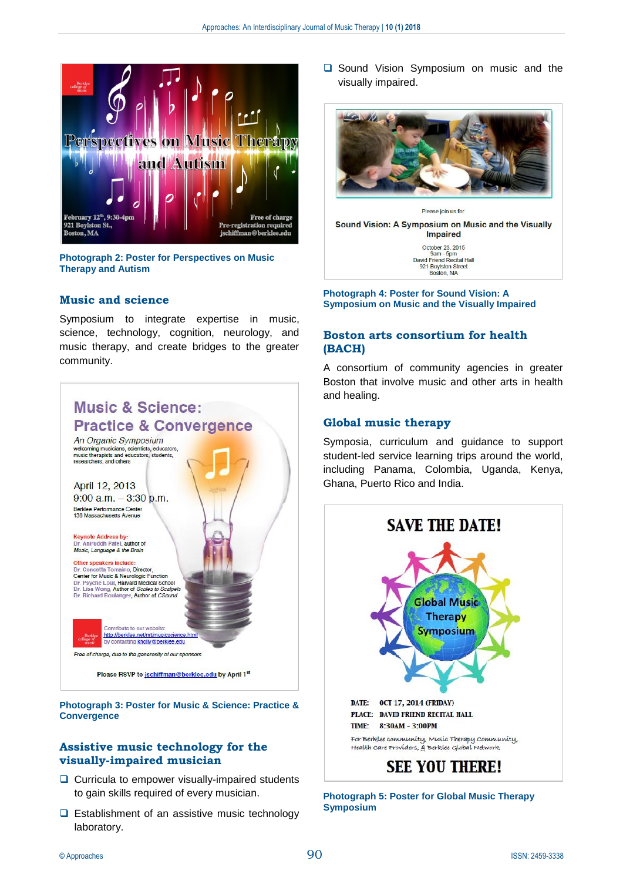

**Photograph 2: Poster for Perspectives on Music Therapy and Autism**

#### **Music and science**

Symposium to integrate expertise in music, science, technology, cognition, neurology, and music therapy, and create bridges to the greater community.



**Convergence**

## **Assistive music technology for the visually-impaired musician**

- ❑ Curricula to empower visually-impaired students to gain skills required of every musician.
- ❑ Establishment of an assistive music technology laboratory.

❑ Sound Vision Symposium on music and the visually impaired.



Sound Vision: A Symposium on Music and the Visually **Impaired** 

> October 23, 2015 9am - 5pm<br>David Friend Recital Hall 921 Boylston Street<br>Boston, MA

#### **Photograph 4: Poster for Sound Vision: A Symposium on Music and the Visually Impaired**

#### **Boston arts consortium for health (BACH)**

A consortium of community agencies in greater Boston that involve music and other arts in health and healing.

#### **Global music therapy**

Symposia, curriculum and guidance to support student-led service learning trips around the world, including Panama, Colombia, Uganda, Kenya, Ghana, Puerto Rico and India.



**Photograph 5: Poster for Global Music Therapy Symposium**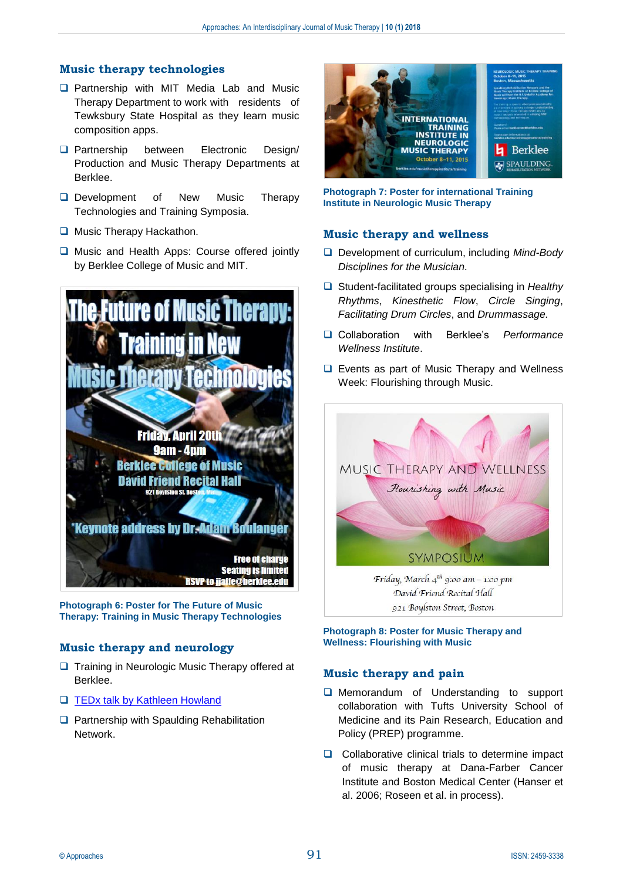## **Music therapy technologies**

- ❑ Partnership with MIT Media Lab and Music Therapy Department to work with residents of Tewksbury State Hospital as they learn music composition apps.
- ❑ Partnership between Electronic Design/ Production and Music Therapy Departments at Berklee.
- ❑ Development of New Music Therapy Technologies and Training Symposia.
- ❑ Music Therapy Hackathon.
- ❑ Music and Health Apps: Course offered jointly by Berklee College of Music and MIT.



**Photograph 6: Poster for The Future of Music Therapy: Training in Music Therapy Technologies**

## **Music therapy and neurology**

- ❑ Training in Neurologic Music Therapy offered at Berklee.
- ❑ [TEDx talk by Kathleen Howland](https://www.youtube.com/watch?v=NlY4yCsGKXU)
- ❑ Partnership with Spaulding Rehabilitation Network.



#### **Photograph 7: Poster for international Training Institute in Neurologic Music Therapy**

#### **Music therapy and wellness**

- ❑ Development of curriculum, including *Mind-Body Disciplines for the Musician.*
- ❑ Student-facilitated groups specialising in *Healthy Rhythms*, *Kinesthetic Flow*, *Circle Singing*, *Facilitating Drum Circles*, and *Drummassage.*
- ❑ Collaboration with Berklee's *Performance Wellness Institute*.
- ❑ Events as part of Music Therapy and Wellness Week: Flourishing through Music.



David Friend Recital Hall 921 Boylston Street, Boston

**Photograph 8: Poster for Music Therapy and Wellness: Flourishing with Music**

#### **Music therapy and pain**

- ❑ Memorandum of Understanding to support collaboration with Tufts University School of Medicine and its Pain Research, Education and Policy (PREP) programme.
- ❑ Collaborative clinical trials to determine impact of music therapy at Dana-Farber Cancer Institute and Boston Medical Center (Hanser et al. 2006; Roseen et al. in process).